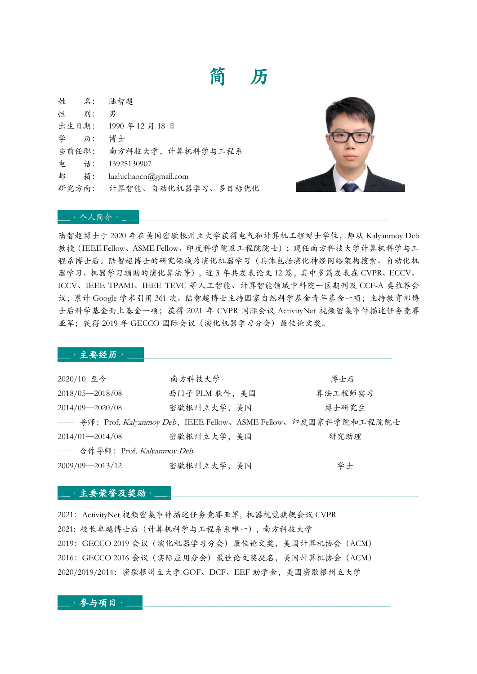# 简 历

| 姓 名: 陆智超 |                          |
|----------|--------------------------|
| 性 别:     | 男                        |
|          | 出生日期: 1990年12月18日        |
| 学 历:     | 博士                       |
|          | 当前任职: 南方科技大学, 计算机科学与工程系  |
|          | 电话: 13925130907          |
| 邮 箱:     | luzhichaocn@gmail.com    |
|          | 研究方向: 计算智能、自动化机器学习、多目标优化 |
|          |                          |



#### $\bot$ .个人简介. $\bot$

陆智超博士于 2020 年在美国密歇根州立大学获得电气和计算机工程博士学位,师从 Kalyanmoy Deb 教授(IEEE Fellow、ASME Fellow、印度科学院及工程院院士);现任南方科技大学计算机科学与工 程系博士后。陆智超博士的研究领域为演化机器学习(具体包括演化神经网络架构搜索、自动化机 器学习、机器学习辅助的演化算法等),近 3 年共发表论文 12 篇,其中多篇发表在 CVPR、ECCV、 ICCV、IEEE TPAMI、IEEE TEVC 等人工智能、计算智能领域中科院一区期刊及 CCF-A 类推荐会 议;累计 Google 学术引用 361 次。陆智超博士主持国家自然科学基金青年基金一项;主持教育部博 士后科学基金面上基金一项;获得 2021 年 CVPR 国际会议 ActivityNet 视频密集事件描述任务竞赛 亚军;获得 2019年 GECCO 国际会议 (演化机器学习分会) 最佳论文奖。

#### $\bot$  · 主要经历 ·  $\bot$

| 2020/10 至今                   | 南方科技大学        | 博士后                                                               |  |  |
|------------------------------|---------------|-------------------------------------------------------------------|--|--|
| 2018/05-2018/08              | 西门子 PLM 软件,美国 | 算法工程师实习                                                           |  |  |
| 2014/09-2020/08              | 密歇根州立大学,美国    | 博士研究生                                                             |  |  |
|                              |               | -- 导师: Prof. Kalyanmoy Deb, IEEE Fellow、ASME Fellow、印度国家科学院和工程院院士 |  |  |
| $2014/01 - 2014/08$          | 密歇根州立大学,美国    | 研究助理                                                              |  |  |
| —— 合作导师: Prof. Kalyanmoy Deb |               |                                                                   |  |  |
| $2009/09 - 2013/12$          | 密歇根州立大学,美国    | 学士                                                                |  |  |

#### $\cdot$ 主要荣誉及奖励 $\cdot$

2021:ActivityNet 视频密集事件描述任务竞赛亚军, 机器视觉旗舰会议 CVPR 2021: 校长卓越博士后(计算机科学与工程系系唯一), 南方科技大学 2019:GECCO 2019 会议(演化机器学习分会)最佳论文奖,美国计算机协会(ACM) 2016:GECCO 2016 会议(实际应用分会)最佳论文奖提名,美国计算机协会(ACM) 2020/2019/2014:密歇根州立大学 GOF、DCF、EEF 助学金,美国密歇根州立大学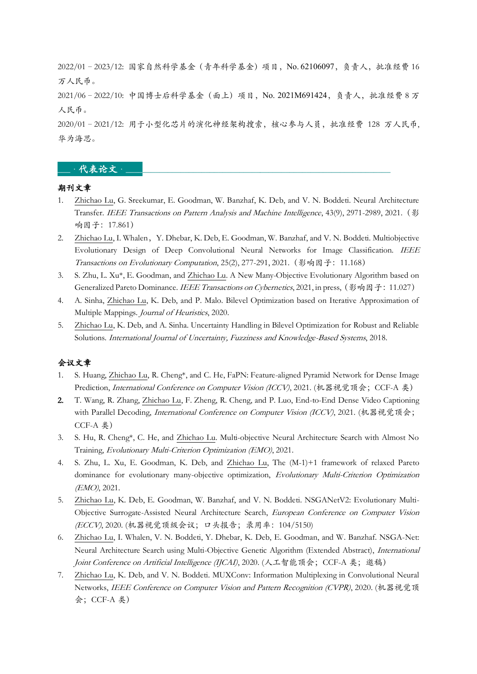2022/01–2023/12: 国家自然科学基金(青年科学基金)项目,No. 62106097,负责人,批准经费 16 万人民币。

2021/06–2022/10: 中国博士后科学基金(面上)项目,No. 2021M691424,负责人,批准经费 8 万 人民币。

2020/01–2021/12: 用于小型化芯片的演化神经架构搜索,核心参与人员,批准经费 128 万人民币, 华为海思。

## $-$ 代表论文 $-$

#### 期刊文章

- 1. Zhichao Lu, G. Sreekumar, E. Goodman, W. Banzhaf, K. Deb, and V. N. Boddeti. Neural Architecture Transfer. IEEE Transactions on Pattern Analysis and Machine Intelligence, 43(9), 2971-2989, 2021.(影 响因子:17.861)
- 2. Zhichao Lu, I. Whalen, Y. Dhebar, K. Deb, E. Goodman, W. Banzhaf, and V. N. Boddeti. Multiobjective Evolutionary Design of Deep Convolutional Neural Networks for Image Classification. IEEE Transactions on Evolutionary Computation, 25(2), 277-291, 2021.(影响因子:11.168)
- 3. S. Zhu, L. Xu\*, E. Goodman, and Zhichao Lu. A New Many-Objective Evolutionary Algorithm based on Generalized Pareto Dominance. IEEE Transactions on Cybernetics, 2021, in press, (影响因子: 11.027)
- 4. A. Sinha, Zhichao Lu, K. Deb, and P. Malo. Bilevel Optimization based on Iterative Approximation of Multiple Mappings. Journal of Heuristics, 2020.
- 5. Zhichao Lu, K. Deb, and A. Sinha. Uncertainty Handling in Bilevel Optimization for Robust and Reliable Solutions. International Journal of Uncertainty, Fuzziness and Knowledge-Based Systems, 2018.

### 会议文章

- 1. S. Huang, Zhichao Lu, R. Cheng\*, and C. He, FaPN: Feature-aligned Pyramid Network for Dense Image Prediction, International Conference on Computer Vision (ICCV), 2021. (机器视觉顶会;CCF-A 类)
- 2. T. Wang, R. Zhang, Zhichao Lu, F. Zheng, R. Cheng, and P. Luo, End-to-End Dense Video Captioning with Parallel Decoding, *International Conference on Computer Vision (ICCV)*, 2021. (机器视觉顶会; CCF-A 类)
- 3. S. Hu, R. Cheng\*, C. He, and Zhichao Lu. Multi-objective Neural Architecture Search with Almost No Training, Evolutionary Multi-Criterion Optimization (EMO), 2021.
- 4. S. Zhu, L. Xu, E. Goodman, K. Deb, and Zhichao Lu, The (M-1)+1 framework of relaxed Pareto dominance for evolutionary many-objective optimization, Evolutionary Multi-Criterion Optimization (EMO), 2021.
- 5. Zhichao Lu, K. Deb, E. Goodman, W. Banzhaf, and V. N. Boddeti. NSGANetV2: Evolutionary Multi-Objective Surrogate-Assisted Neural Architecture Search, European Conference on Computer Vision (ECCV), 2020. (机器视觉顶级会议;口头报告;录用率:104/5150)
- 6. Zhichao Lu, I. Whalen, V. N. Boddeti, Y. Dhebar, K. Deb, E. Goodman, and W. Banzhaf. NSGA-Net: Neural Architecture Search using Multi-Objective Genetic Algorithm (Extended Abstract), International Joint Conference on Artificial Intelligence (IJCAI), 2020. (人工智能顶会;CCF-A 类;邀稿)
- 7. Zhichao Lu, K. Deb, and V. N. Boddeti. MUXConv: Information Multiplexing in Convolutional Neural Networks, IEEE Conference on Computer Vision and Pattern Recognition (CVPR), 2020. (机器视觉顶 会;CCF-A 类)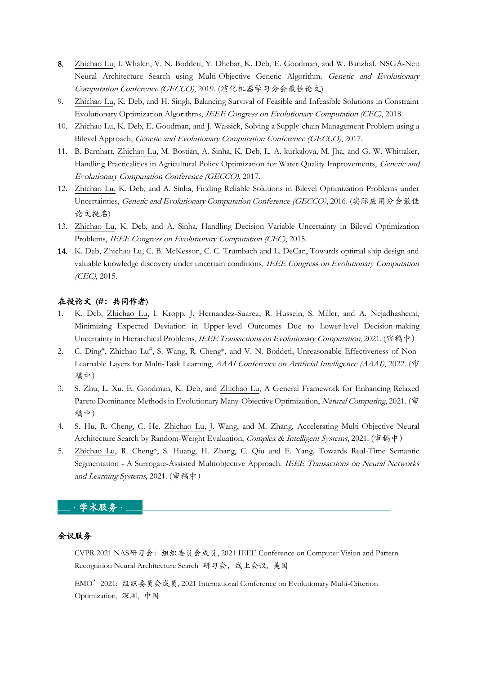- 8. Zhichao Lu, I. Whalen, V. N. Boddeti, Y. Dhebar, K. Deb, E. Goodman, and W. Banzhaf. NSGA-Net: Neural Architecture Search using Multi-Objective Genetic Algorithm. Genetic and Evolutionary Computation Conference (GECCO), 2019. (演化机器学习分会最佳论文)
- 9. Zhichao Lu, K. Deb, and H. Singh, Balancing Survival of Feasible and Infeasible Solutions in Constraint Evolutionary Optimization Algorithms, IEEE Congress on Evolutionary Computation (CEC), 2018.
- 10. Zhichao Lu, K. Deb, E. Goodman, and J. Wassick, Solving a Supply-chain Management Problem using a Bilevel Approach, Genetic and Evolutionary Computation Conference (GECCO), 2017.
- 11. B. Barnhart, Zhichao Lu, M. Bostian, A. Sinha, K. Deb, L. A. kurkalova, M. Jha, and G. W. Whittaker, Handling Practicalities in Agricultural Policy Optimization for Water Quality Improvements, Genetic and Evolutionary Computation Conference (GECCO), 2017.
- 12. Zhichao Lu, K. Deb, and A. Sinha, Finding Reliable Solutions in Bilevel Optimization Problems under Uncertainties, Genetic and Evolutionary Computation Conference (GECCO), 2016. (实际应用分会最佳 论文提名)
- 13. Zhichao Lu, K. Deb, and A. Sinha, Handling Decision Variable Uncertainty in Bilevel Optimization Problems, IEEE Congress on Evolutionary Computation (CEC), 2015.
- 14. K. Deb, Zhichao Lu, C. B. McKesson, C. C. Trumbach and L. DeCan, Towards optimal ship design and valuable knowledge discovery under uncertain conditions, IEEE Congress on Evolutionary Computation (CEC), 2015.

### 在投论文 (#: 共同作者)

- 1. K. Deb, Zhichao Lu, I. Kropp, J. Hernandez-Suarez, R. Hussein, S. Miller, and A. Nejadhashemi, Minimizing Expected Deviation in Upper-level Outcomes Due to Lower-level Decision-making Uncertainty in Hierarchical Problems, *IEEE Transactions on Evolutionary Computation*, 2021. (审稿中)
- 2. C. Ding<sup>#</sup>, Zhichao Lu<sup>#</sup>, S. Wang, R. Cheng\*, and V. N. Boddeti, Unreasonable Effectiveness of Non-Learnable Layers for Multi-Task Learning, *AAAI Conference on Artificial Intelligence (AAAI*), 2022. (审 稿中)
- 3. S. Zhu, L. Xu, E. Goodman, K. Deb, and Zhichao Lu, A General Framework for Enhancing Relaxed Pareto Dominance Methods in Evolutionary Many-Objective Optimization, Natural Computing, 2021. (审 稿中)
- 4. S. Hu, R. Cheng, C. He, Zhichao Lu, J. Wang, and M. Zhang, Accelerating Multi-Objective Neural Architecture Search by Random-Weight Evaluation, Complex & Intelligent Systems, 2021. (审稿中)
- 5. Zhichao Lu, R. Cheng\*, S. Huang, H. Zhang, C. Qiu and F. Yang. Towards Real-Time Semantic Segmentation - A Surrogate-Assisted Multiobjective Approach. IEEE Transactions on Neural Networks and Learning Systems, 2021. (审稿中)

#### \_\_\_·学术服务·\_\_\_\_\_\_\_\_\_\_\_\_\_\_\_\_\_\_\_\_\_\_\_\_\_\_\_\_\_\_\_\_\_\_\_\_\_\_\_\_\_\_\_\_\_\_\_\_\_\_\_\_\_\_\_\_\_\_\_\_\_\_\_

### 会议服务

CVPR 2021 NAS研习会:组织委员会成员, 2021 IEEE Conference on Computer Vision and Pattern Recognition Neural Architecture Search 研习会,线上会议, 美国

EMO'2021: 组织委员会成员, 2021 International Conference on Evolutionary Multi-Criterion Optimization, 深圳, 中国